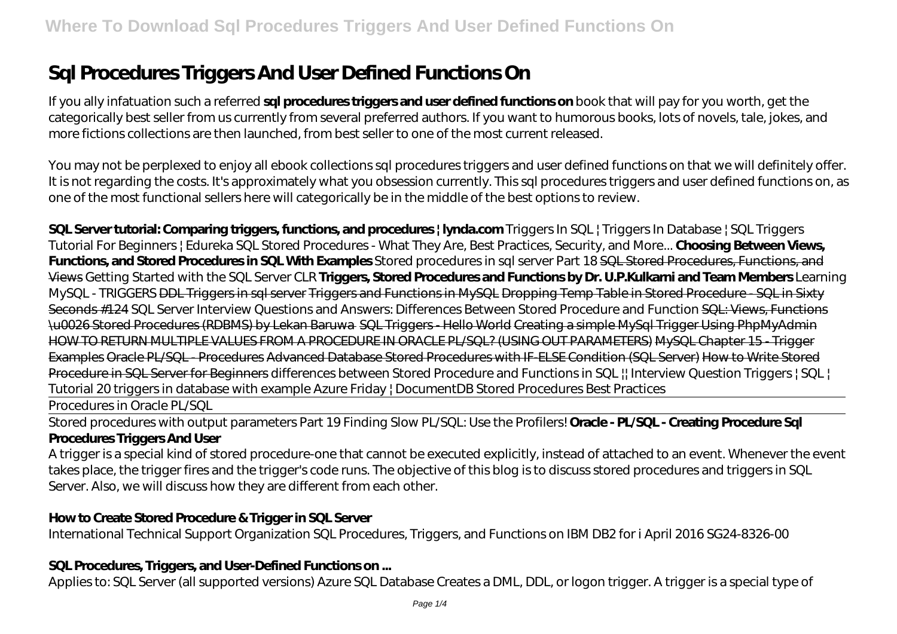# **Sql Procedures Triggers And User Defined Functions On**

If you ally infatuation such a referred **sql procedures triggers and user defined functions on** book that will pay for you worth, get the categorically best seller from us currently from several preferred authors. If you want to humorous books, lots of novels, tale, jokes, and more fictions collections are then launched, from best seller to one of the most current released.

You may not be perplexed to enjoy all ebook collections sql procedures triggers and user defined functions on that we will definitely offer. It is not regarding the costs. It's approximately what you obsession currently. This sql procedures triggers and user defined functions on, as one of the most functional sellers here will categorically be in the middle of the best options to review.

**SQL Server tutorial: Comparing triggers, functions, and procedures | lynda.com** Triggers In SQL | Triggers In Database | SQL Triggers Tutorial For Beginners | Edureka SQL Stored Procedures - What They Are, Best Practices, Security, and More... **Choosing Between Views, Functions, and Stored Procedures in SQL With Examples** Stored procedures in sql server Part 18 SQL Stored Procedures, Functions, and Views Getting Started with the SQL Server CLR **Triggers, Stored Procedures and Functions by Dr. U.P.Kulkarni and Team Members** *Learning MySQL - TRIGGERS* DDL Triggers in sql server Triggers and Functions in MySQL Dropping Temp Table in Stored Procedure - SQL in Sixty Seconds #124 SQL Server Interview Questions and Answers: Differences Between Stored Procedure and Function SQL: Views, Functions \u0026 Stored Procedures (RDBMS) by Lekan Baruwa SQL Triggers - Hello World Creating a simple MySql Trigger Using PhpMyAdmin HOW TO RETURN MULTIPLE VALUES FROM A PROCEDURE IN ORACLE PL/SQL? (USING OUT PARAMETERS) MySQL Chapter 15 - Trigger Examples Oracle PL/SQL - Procedures Advanced Database Stored Procedures with IF-ELSE Condition (SQL Server) How to Write Stored Procedure in SQL Server for Beginners differences between Stored Procedure and Functions in SQL || Interview Question *Triggers | SQL | Tutorial 20 triggers in database with example Azure Friday | DocumentDB Stored Procedures Best Practices*

Procedures in Oracle PL/SQL

Stored procedures with output parameters Part 19 Finding Slow PL/SQL: Use the Profilers! **Oracle - PL/SQL - Creating Procedure Sql Procedures Triggers And User**

A trigger is a special kind of stored procedure-one that cannot be executed explicitly, instead of attached to an event. Whenever the event takes place, the trigger fires and the trigger's code runs. The objective of this blog is to discuss stored procedures and triggers in SQL Server. Also, we will discuss how they are different from each other.

# **How to Create Stored Procedure & Trigger in SQL Server**

International Technical Support Organization SQL Procedures, Triggers, and Functions on IBM DB2 for i April 2016 SG24-8326-00

#### **SQL Procedures, Triggers, and User-Defined Functions on ...**

Applies to: SQL Server (all supported versions) Azure SQL Database Creates a DML, DDL, or logon trigger. A trigger is a special type of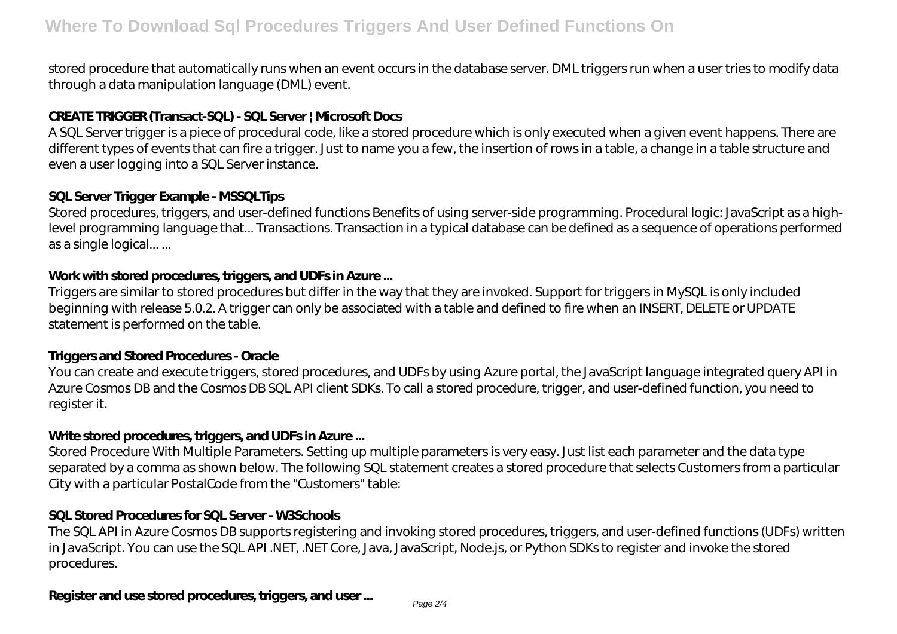stored procedure that automatically runs when an event occurs in the database server. DML triggers run when a user tries to modify data through a data manipulation language (DML) event.

## **CREATE TRIGGER (Transact-SQL) - SQL Server | Microsoft Docs**

A SQL Server trigger is a piece of procedural code, like a stored procedure which is only executed when a given event happens. There are different types of events that can fire a trigger. Just to name you a few, the insertion of rows in a table, a change in a table structure and even a user logging into a SQL Server instance.

#### **SQL Server Trigger Example - MSSQLTips**

Stored procedures, triggers, and user-defined functions Benefits of using server-side programming. Procedural logic: JavaScript as a highlevel programming language that... Transactions. Transaction in a typical database can be defined as a sequence of operations performed as a single logical... ...

## **Work with stored procedures, triggers, and UDFs in Azure ...**

Triggers are similar to stored procedures but differ in the way that they are invoked. Support for triggers in MySQL is only included beginning with release 5.0.2. A trigger can only be associated with a table and defined to fire when an INSERT, DELETE or UPDATE statement is performed on the table.

#### **Triggers and Stored Procedures - Oracle**

You can create and execute triggers, stored procedures, and UDFs by using Azure portal, the JavaScript language integrated query API in Azure Cosmos DB and the Cosmos DB SQL API client SDKs. To call a stored procedure, trigger, and user-defined function, you need to register it.

# **Write stored procedures, triggers, and UDFs in Azure ...**

Stored Procedure With Multiple Parameters. Setting up multiple parameters is very easy. Just list each parameter and the data type separated by a comma as shown below. The following SQL statement creates a stored procedure that selects Customers from a particular City with a particular PostalCode from the "Customers" table:

# **SQL Stored Procedures for SQL Server - W3Schools**

The SQL API in Azure Cosmos DB supports registering and invoking stored procedures, triggers, and user-defined functions (UDFs) written in JavaScript. You can use the SQL API .NET, .NET Core, Java, JavaScript, Node.js, or Python SDKs to register and invoke the stored procedures.

# **Register and use stored procedures, triggers, and user ...**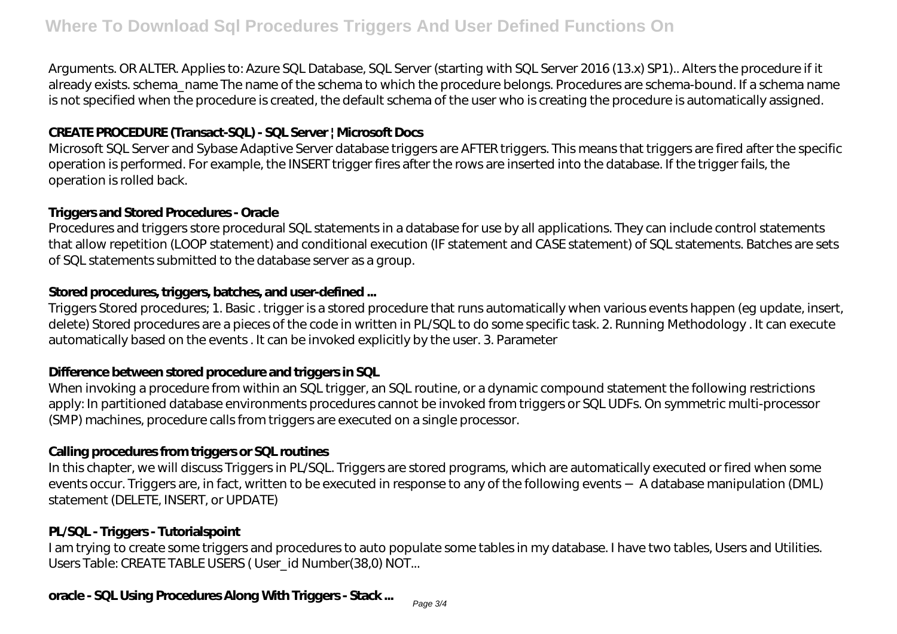Arguments. OR ALTER. Applies to: Azure SQL Database, SQL Server (starting with SQL Server 2016 (13.x) SP1).. Alters the procedure if it already exists. schema\_name The name of the schema to which the procedure belongs. Procedures are schema-bound. If a schema name is not specified when the procedure is created, the default schema of the user who is creating the procedure is automatically assigned.

## **CREATE PROCEDURE (Transact-SQL) - SQL Server | Microsoft Docs**

Microsoft SQL Server and Sybase Adaptive Server database triggers are AFTER triggers. This means that triggers are fired after the specific operation is performed. For example, the INSERT trigger fires after the rows are inserted into the database. If the trigger fails, the operation is rolled back.

#### **Triggers and Stored Procedures - Oracle**

Procedures and triggers store procedural SQL statements in a database for use by all applications. They can include control statements that allow repetition (LOOP statement) and conditional execution (IF statement and CASE statement) of SQL statements. Batches are sets of SQL statements submitted to the database server as a group.

#### **Stored procedures, triggers, batches, and user-defined ...**

Triggers Stored procedures; 1. Basic . trigger is a stored procedure that runs automatically when various events happen (eg update, insert, delete) Stored procedures are a pieces of the code in written in PL/SQL to do some specific task. 2. Running Methodology . It can execute automatically based on the events . It can be invoked explicitly by the user. 3. Parameter

#### **Difference between stored procedure and triggers in SQL**

When invoking a procedure from within an SQL trigger, an SQL routine, or a dynamic compound statement the following restrictions apply: In partitioned database environments procedures cannot be invoked from triggers or SQL UDFs. On symmetric multi-processor (SMP) machines, procedure calls from triggers are executed on a single processor.

#### **Calling procedures from triggers or SQL routines**

In this chapter, we will discuss Triggers in PL/SQL. Triggers are stored programs, which are automatically executed or fired when some events occur. Triggers are, in fact, written to be executed in response to any of the following events − A database manipulation (DML) statement (DELETE, INSERT, or UPDATE)

#### **PL/SQL - Triggers - Tutorialspoint**

I am trying to create some triggers and procedures to auto populate some tables in my database. I have two tables, Users and Utilities. Users Table: CREATE TABLE USERS (User id Number(38,0) NOT...

# **oracle - SQL Using Procedures Along With Triggers - Stack ...**